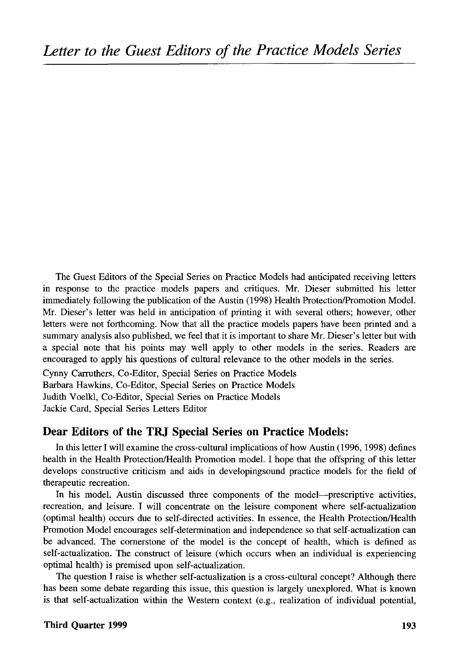The Guest Editors of the Special Series on Practice Models had anticipated receiving letters in response to the practice models papers and critiques. Mr. Dieser submitted his letter immediately following the publication of the Austin (1998) Health Protection/Promotion Model. Mr. Dieser's letter was held in anticipation of printing it with several others; however, other letters were not forthcoming. Now that all the practice models papers have been printed and a summary analysis also published, we feel that it is important to share Mr. Dieser's letter but with a special note that his points may well apply to other models in the series. Readers are encouraged to apply his questions of cultural relevance to the other models in the series.

Cynny Carruthers, Co-Editor, Special Series on Practice Models Barbara Hawkins, Co-Editor, Special Series on Practice Models Judith Voelkl, Co-Editor, Special Series on Practice Models Jackie Card, Special Series Letters Editor

## Dear Editors of the TRJ Special Series on Practice Models:

In this letter I will examine the cross-cultural implications of how Austin (1996, 1998) defines health in the Health Protection/Health Promotion model. I hope that the offspring of this letter develops constructive criticism and aids in developingsound practice models for the field of therapeutic recreation.

In his model, Austin discussed three components of the model—prescriptive activities, recreation, and leisure. I will concentrate on the leisure component where self-actualization (optimal health) occurs due to self-directed activities. In essence, the Health Protection/Health Promotion Model encourages self-determination and independence so that self-actualization can be advanced. The cornerstone of the model is the concept of health, which is defined as self-actualization. The construct of leisure (which occurs when an individual is experiencing optimal health) is premised upon self-actualization.

The question I raise is whether self-actualization is a cross-cultural concept? Although there has been some debate regarding this issue, this question is largely unexplored. What is known is that self-actualization within the Western context (e.g., realization of individual potential,